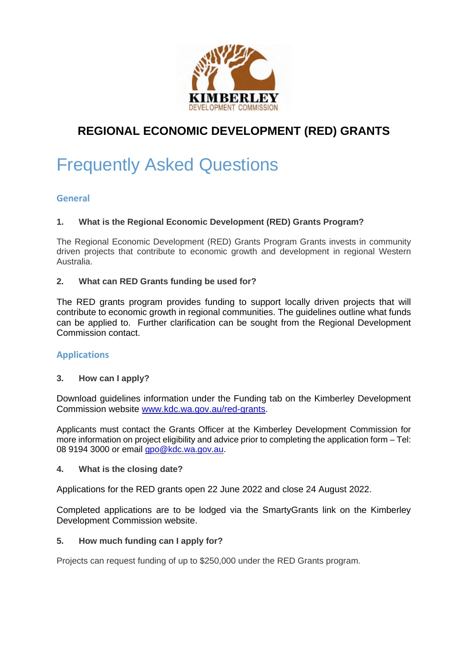

# **REGIONAL ECONOMIC DEVELOPMENT (RED) GRANTS**

# Frequently Asked Questions

# **General**

# **1. What is the Regional Economic Development (RED) Grants Program?**

The Regional Economic Development (RED) Grants Program Grants invests in community driven projects that contribute to economic growth and development in regional Western Australia.

# **2. What can RED Grants funding be used for?**

The RED grants program provides funding to support locally driven projects that will contribute to economic growth in regional communities. The guidelines outline what funds can be applied to. Further clarification can be sought from the Regional Development Commission contact.

# **Applications**

# **3. How can I apply?**

Download guidelines information under the Funding tab on the Kimberley Development Commission website www.kdc.wa.gov.au/red-grants.

Applicants must contact the Grants Officer at the Kimberley Development Commission for more information on project eligibility and advice prior to completing the application form – Tel: 08 9194 3000 or email gpo@kdc.wa.gov.au.

# **4. What is the closing date?**

Applications for the RED grants open 22 June 2022 and close 24 August 2022.

Completed applications are to be lodged via the SmartyGrants link on the Kimberley Development Commission website.

# **5. How much funding can I apply for?**

Projects can request funding of up to \$250,000 under the RED Grants program.